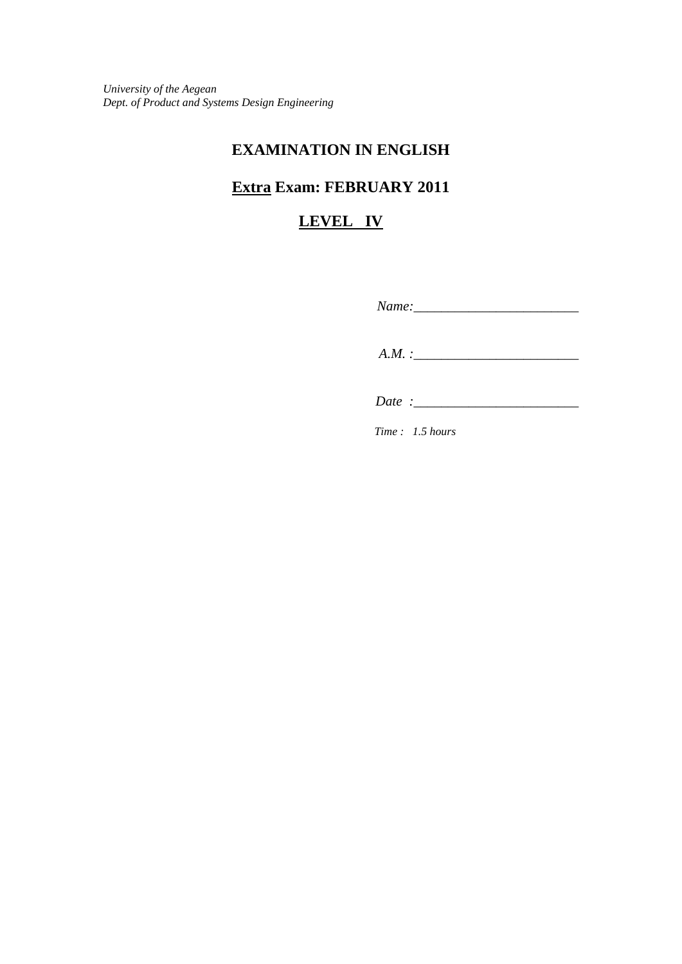*University of the Aegean Dept. of Product and Systems Design Engineering*

## **EXAMINATION IN ENGLISH**

# **Extra Exam: FEBRUARY 2011**

## **LEVEL IV**

| $Name:\_$ |  |
|-----------|--|
| $A.M.$ :  |  |

 *Date :\_\_\_\_\_\_\_\_\_\_\_\_\_\_\_\_\_\_\_\_\_\_\_\_*

*Time : 1.5 hours*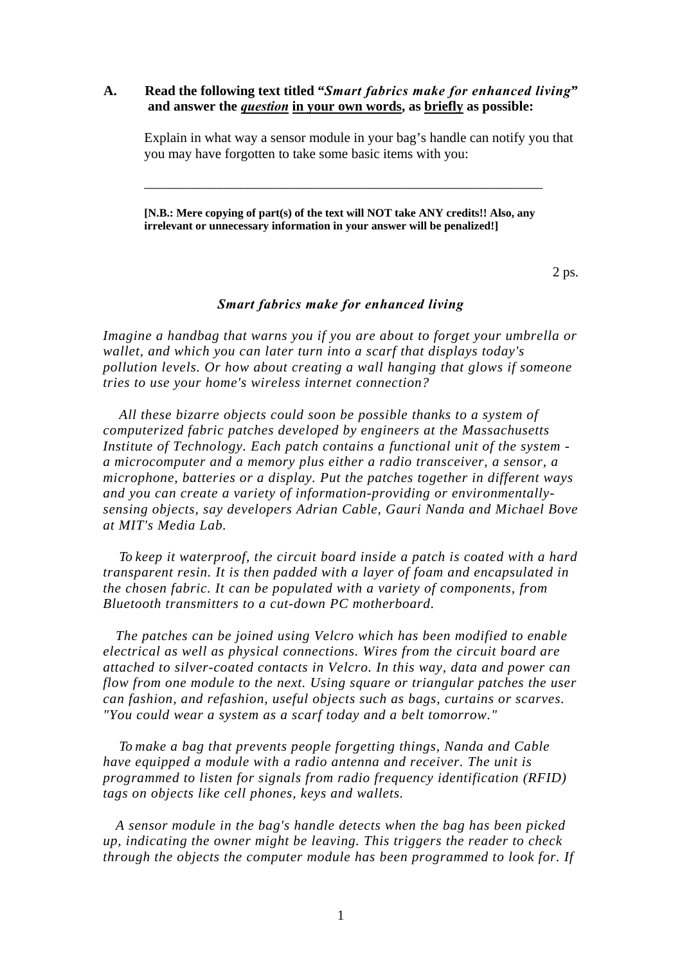### **A. Read the following text titled "***Smart fabrics make for enhanced living***" and answer the** *question* **in your own words, as briefly as possible:**

Explain in what way a sensor module in your bag's handle can notify you that you may have forgotten to take some basic items with you:

**[N.B.: Mere copying of part(s) of the text will NOT take ANY credits!! Also, any irrelevant or unnecessary information in your answer will be penalized!]**

\_\_\_\_\_\_\_\_\_\_\_\_\_\_\_\_\_\_\_\_\_\_\_\_\_\_\_\_\_\_\_\_\_\_\_\_\_\_\_\_\_\_\_\_\_\_\_\_\_\_\_\_\_\_\_\_\_\_

 $2 \text{ ps.}$ 

#### *Smart fabrics make for enhanced living*

*Imagine a handbag that warns you if you are about to forget your umbrella or wallet, and which you can later turn into a scarf that displays today's pollution levels. Or how about creating a wall hanging that glows if someone tries to use your home's wireless internet connection?* 

*All these bizarre objects could soon be possible thanks to a system of computerized fabric patches developed by engineers at the Massachusetts Institute of Technology. Each patch contains a functional unit of the system a microcomputer and a memory plus either a radio transceiver, a sensor, a microphone, batteries or a display. Put the patches together in different ways and you can create a variety of information-providing or environmentallysensing objects, say developers Adrian Cable, Gauri Nanda and Michael Bove at MIT's Media Lab.* 

*To keep it waterproof, the circuit board inside a patch is coated with a hard transparent resin. It is then padded with a layer of foam and encapsulated in the chosen fabric. It can be populated with a variety of components, from Bluetooth transmitters to a cut-down PC motherboard.* 

*The patches can be joined using Velcro which has been modified to enable electrical as well as physical connections. Wires from the circuit board are attached to silver-coated contacts in Velcro. In this way, data and power can flow from one module to the next. Using square or triangular patches the user can fashion, and refashion, useful objects such as bags, curtains or scarves. "You could wear a system as a scarf today and a belt tomorrow."* 

*To make a bag that prevents people forgetting things, Nanda and Cable have equipped a module with a radio antenna and receiver. The unit is programmed to listen for signals from radio frequency identification (RFID) tags on objects like cell phones, keys and wallets.* 

*A sensor module in the bag's handle detects when the bag has been picked up, indicating the owner might be leaving. This triggers the reader to check through the objects the computer module has been programmed to look for. If*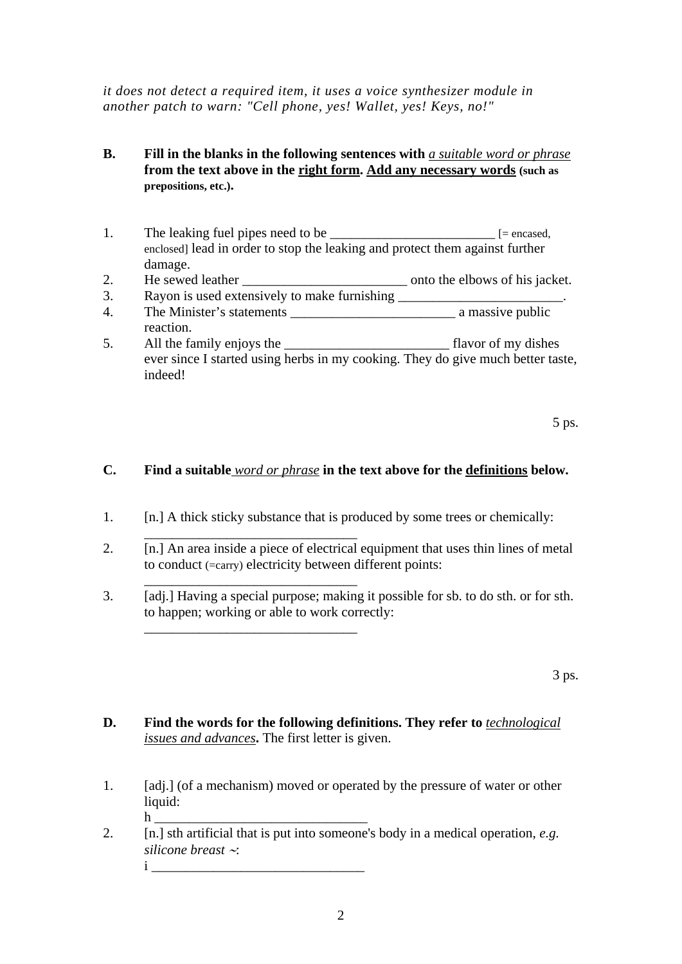*it does not detect a required item, it uses a voice synthesizer module in another patch to warn: "Cell phone, yes! Wallet, yes! Keys, no!"* 

## **B. Fill in the blanks in the following sentences with** *a suitable word or phrase* **from the text above in the right form. Add any necessary words (such as prepositions, etc.).**

- 1. The leaking fuel pipes need to be  $\Box$  [= encased, enclosed] lead in order to stop the leaking and protect them against further damage.
- 2. He sewed leather **Example 2.** Onto the elbows of his jacket.
- 3. Rayon is used extensively to make furnishing 4. The Minister's statements \_\_\_\_\_\_\_\_\_\_\_\_\_\_\_\_\_\_\_\_\_\_\_\_ a massive public
- reaction.
- 5. All the family enjoys the \_\_\_\_\_\_\_\_\_\_\_\_\_\_\_\_\_\_\_\_\_\_\_\_ flavor of my dishes ever since I started using herbs in my cooking. They do give much better taste, indeed!

 $5 \text{ ps.}$ 

## **C. Find a suitable** *word or phrase* **in the text above for the definitions below.**

- 1. [n.] A thick sticky substance that is produced by some trees or chemically:
- 2. [n.] An area inside a piece of electrical equipment that uses thin lines of metal to conduct (=carry) electricity between different points:
- 3. [adj.] Having a special purpose; making it possible for sb. to do sth. or for sth. to happen; working or able to work correctly:

3 ps.

- **D. Find the words for the following definitions. They refer to** *technological issues and advances***.** The first letter is given.
- 1. [adj.] (of a mechanism) moved or operated by the pressure of water or other liquid: h \_\_\_\_\_\_\_\_\_\_\_\_\_\_\_\_\_\_\_\_\_\_\_\_\_\_\_\_\_\_\_
- 2. [n.] sth artificial that is put into someone's body in a medical operation, *e.g. silicone breast* ∼:

 $i$ 

 $\overline{\phantom{a}}$  ,  $\overline{\phantom{a}}$  ,  $\overline{\phantom{a}}$  ,  $\overline{\phantom{a}}$  ,  $\overline{\phantom{a}}$  ,  $\overline{\phantom{a}}$  ,  $\overline{\phantom{a}}$  ,  $\overline{\phantom{a}}$  ,  $\overline{\phantom{a}}$  ,  $\overline{\phantom{a}}$  ,  $\overline{\phantom{a}}$  ,  $\overline{\phantom{a}}$  ,  $\overline{\phantom{a}}$  ,  $\overline{\phantom{a}}$  ,  $\overline{\phantom{a}}$  ,  $\overline{\phantom{a}}$ 

\_\_\_\_\_\_\_\_\_\_\_\_\_\_\_\_\_\_\_\_\_\_\_\_\_\_\_\_\_\_\_

\_\_\_\_\_\_\_\_\_\_\_\_\_\_\_\_\_\_\_\_\_\_\_\_\_\_\_\_\_\_\_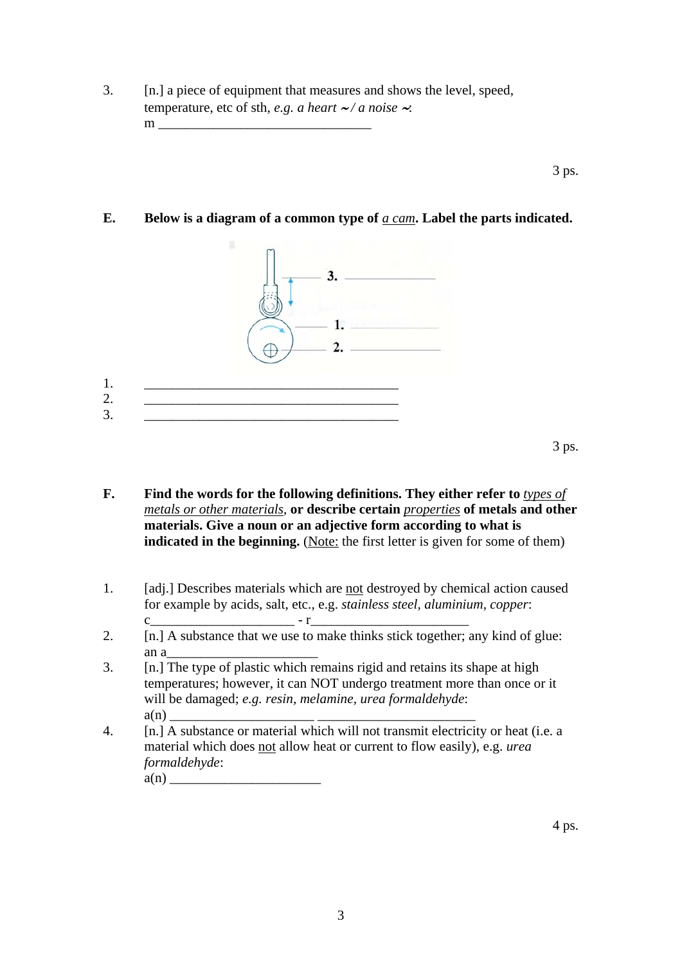3. [n.] a piece of equipment that measures and shows the level, speed, temperature, etc of sth, *e.g. a heart* ∼ */ a noise* ∼:  $m$ 

 $3 \text{ ps.}$ 

**E. Below is a diagram of a common type of** *a cam***. Label the parts indicated.** 



- **F. Find the words for the following definitions. They either refer to** *types of metals or other materials*, **or describe certain** *properties* **of metals and other materials. Give a noun or an adjective form according to what is indicated in the beginning.** (Note: the first letter is given for some of them)
- 1. [adj.] Describes materials which are not destroyed by chemical action caused for example by acids, salt, etc., e.g. *stainless steel, aluminium, copper*:
- c\_\_\_\_\_\_\_\_\_\_\_\_\_\_\_\_\_\_\_\_\_ r\_\_\_\_\_\_\_\_\_\_\_\_\_\_\_\_\_\_\_\_\_\_\_ 2.  $[n]$  A substance that we use to make thinks stick together; any kind of glue: an  $a$
- 3. [n.] The type of plastic which remains rigid and retains its shape at high temperatures; however, it can NOT undergo treatment more than once or it will be damaged; *e.g. resin, melamine, urea formaldehyde*:  $a(n)$
- 4. [n.] A substance or material which will not transmit electricity or heat (i.e. a material which does not allow heat or current to flow easily), e.g. *urea formaldehyde*:

a(n) \_\_\_\_\_\_\_\_\_\_\_\_\_\_\_\_\_\_\_\_\_\_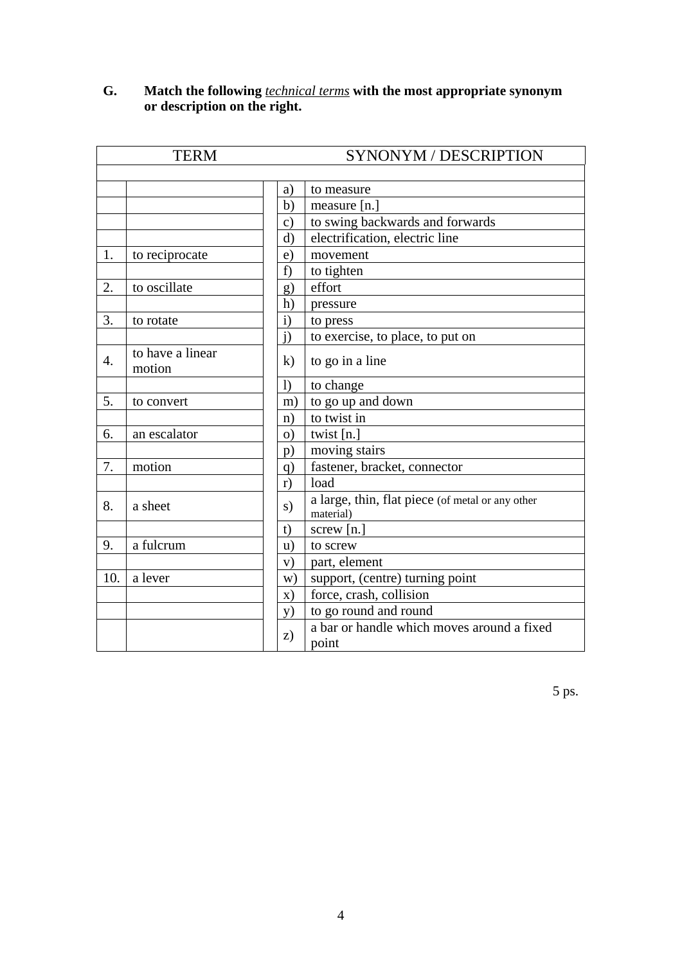|                  | <b>TERM</b>                |               | SYNONYM / DESCRIPTION                                         |
|------------------|----------------------------|---------------|---------------------------------------------------------------|
|                  |                            |               |                                                               |
|                  |                            | a)            | to measure                                                    |
|                  |                            | b)            | measure $[n.]$                                                |
|                  |                            | $\mathbf{c})$ | to swing backwards and forwards                               |
|                  |                            | $\mathbf{d}$  | electrification, electric line                                |
| 1.               | to reciprocate             | e)            | movement                                                      |
|                  |                            | f)            | to tighten                                                    |
| 2.               | to oscillate               | g)            | effort                                                        |
|                  |                            | h)            | pressure                                                      |
| 3.               | to rotate                  | $\mathbf{i}$  | to press                                                      |
|                  |                            | j)            | to exercise, to place, to put on                              |
| $\overline{4}$ . | to have a linear<br>motion | $\bf k$       | to go in a line                                               |
|                  |                            | $\bf{I}$      | to change                                                     |
| 5.               | to convert                 | m)            | to go up and down                                             |
|                  |                            | n)            | to twist in                                                   |
| 6.               | an escalator               | $\Omega$      | twist [n.]                                                    |
|                  |                            | p)            | moving stairs                                                 |
| 7.               | motion                     | q)            | fastener, bracket, connector                                  |
|                  |                            | r)            | load                                                          |
| 8.               | a sheet                    | s)            | a large, thin, flat piece (of metal or any other<br>material) |
|                  |                            | t)            | screw $[n.]$                                                  |
| 9.               | a fulcrum                  | u)            | to screw                                                      |
|                  |                            | V)            | part, element                                                 |
| 10.              | a lever                    | W)            | support, (centre) turning point                               |
|                  |                            | $\mathbf{x})$ | force, crash, collision                                       |
|                  |                            | y)            | to go round and round                                         |
|                  |                            | z)            | a bar or handle which moves around a fixed<br>point           |

## **G. Match the following** *technical terms* **with the most appropriate synonym or description on the right.**

5 ps.